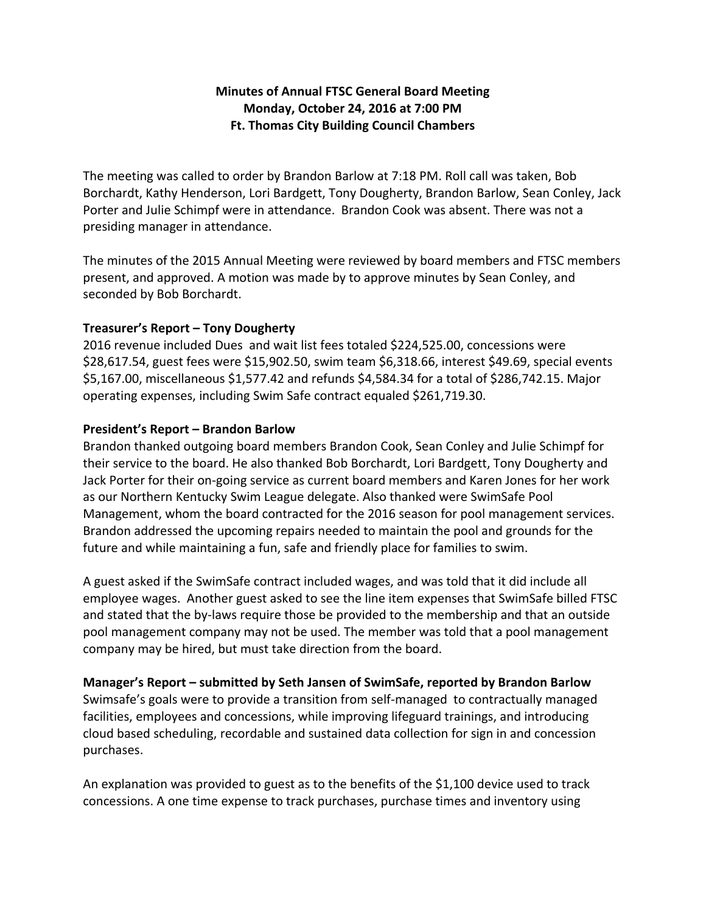# **Minutes of Annual FTSC General Board Meeting Monday, October 24, 2016 at 7:00 PM Ft. Thomas City Building Council Chambers**

The meeting was called to order by Brandon Barlow at 7:18 PM. Roll call was taken, Bob Borchardt, Kathy Henderson, Lori Bardgett, Tony Dougherty, Brandon Barlow, Sean Conley, Jack Porter and Julie Schimpf were in attendance. Brandon Cook was absent. There was not a presiding manager in attendance.

The minutes of the 2015 Annual Meeting were reviewed by board members and FTSC members present, and approved. A motion was made by to approve minutes by Sean Conley, and seconded by Bob Borchardt.

#### **Treasurer's Report – Tony Dougherty**

2016 revenue included Dues and wait list fees totaled \$224,525.00, concessions were \$28,617.54, guest fees were \$15,902.50, swim team \$6,318.66, interest \$49.69, special events \$5,167.00, miscellaneous \$1,577.42 and refunds \$4,584.34 for a total of \$286,742.15. Major operating expenses, including Swim Safe contract equaled \$261,719.30.

#### **President's Report – Brandon Barlow**

Brandon thanked outgoing board members Brandon Cook, Sean Conley and Julie Schimpf for their service to the board. He also thanked Bob Borchardt, Lori Bardgett, Tony Dougherty and Jack Porter for their on‐going service as current board members and Karen Jones for her work as our Northern Kentucky Swim League delegate. Also thanked were SwimSafe Pool Management, whom the board contracted for the 2016 season for pool management services. Brandon addressed the upcoming repairs needed to maintain the pool and grounds for the future and while maintaining a fun, safe and friendly place for families to swim.

A guest asked if the SwimSafe contract included wages, and was told that it did include all employee wages. Another guest asked to see the line item expenses that SwimSafe billed FTSC and stated that the by-laws require those be provided to the membership and that an outside pool management company may not be used. The member was told that a pool management company may be hired, but must take direction from the board.

**Manager's Report – submitted by Seth Jansen of SwimSafe, reported by Brandon Barlow** Swimsafe's goals were to provide a transition from self‐managed to contractually managed facilities, employees and concessions, while improving lifeguard trainings, and introducing cloud based scheduling, recordable and sustained data collection for sign in and concession purchases.

An explanation was provided to guest as to the benefits of the \$1,100 device used to track concessions. A one time expense to track purchases, purchase times and inventory using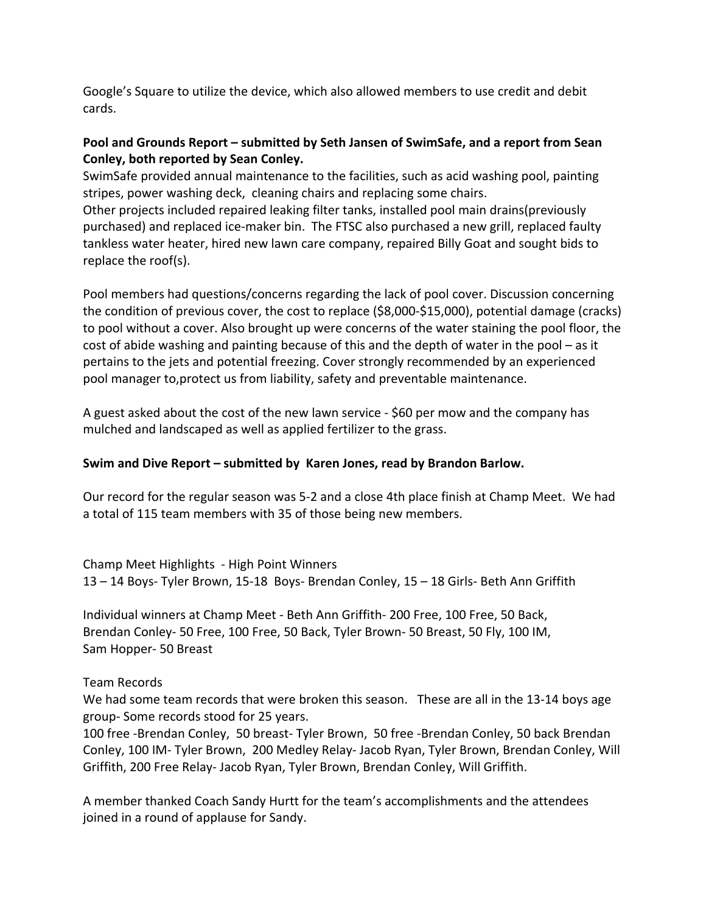Google's Square to utilize the device, which also allowed members to use credit and debit cards.

# **Pool and Grounds Report – submitted by Seth Jansen of SwimSafe, and a report from Sean Conley, both reported by Sean Conley.**

SwimSafe provided annual maintenance to the facilities, such as acid washing pool, painting stripes, power washing deck, cleaning chairs and replacing some chairs.

Other projects included repaired leaking filter tanks, installed pool main drains(previously purchased) and replaced ice-maker bin. The FTSC also purchased a new grill, replaced faulty tankless water heater, hired new lawn care company, repaired Billy Goat and sought bids to replace the roof(s).

Pool members had questions/concerns regarding the lack of pool cover. Discussion concerning the condition of previous cover, the cost to replace (\$8,000‐\$15,000), potential damage (cracks) to pool without a cover. Also brought up were concerns of the water staining the pool floor, the cost of abide washing and painting because of this and the depth of water in the pool – as it pertains to the jets and potential freezing. Cover strongly recommended by an experienced pool manager to,protect us from liability, safety and preventable maintenance.

A guest asked about the cost of the new lawn service ‐ \$60 per mow and the company has mulched and landscaped as well as applied fertilizer to the grass.

# **Swim and Dive Report – submitted by Karen Jones, read by Brandon Barlow.**

Our record for the regular season was 5‐2 and a close 4th place finish at Champ Meet. We had a total of 115 team members with 35 of those being new members.

Champ Meet Highlights ‐ High Point Winners 13 – 14 Boys‐ Tyler Brown, 15‐18 Boys‐ Brendan Conley, 15 – 18 Girls‐ Beth Ann Griffith

Individual winners at Champ Meet ‐ Beth Ann Griffith‐ 200 Free, 100 Free, 50 Back, Brendan Conley‐ 50 Free, 100 Free, 50 Back, Tyler Brown‐ 50 Breast, 50 Fly, 100 IM, Sam Hopper‐ 50 Breast

### Team Records

We had some team records that were broken this season. These are all in the 13-14 boys age group‐ Some records stood for 25 years.

100 free ‐Brendan Conley, 50 breast‐ Tyler Brown, 50 free ‐Brendan Conley, 50 back Brendan Conley, 100 IM‐ Tyler Brown, 200 Medley Relay‐ Jacob Ryan, Tyler Brown, Brendan Conley, Will Griffith, 200 Free Relay‐ Jacob Ryan, Tyler Brown, Brendan Conley, Will Griffith.

A member thanked Coach Sandy Hurtt for the team's accomplishments and the attendees joined in a round of applause for Sandy.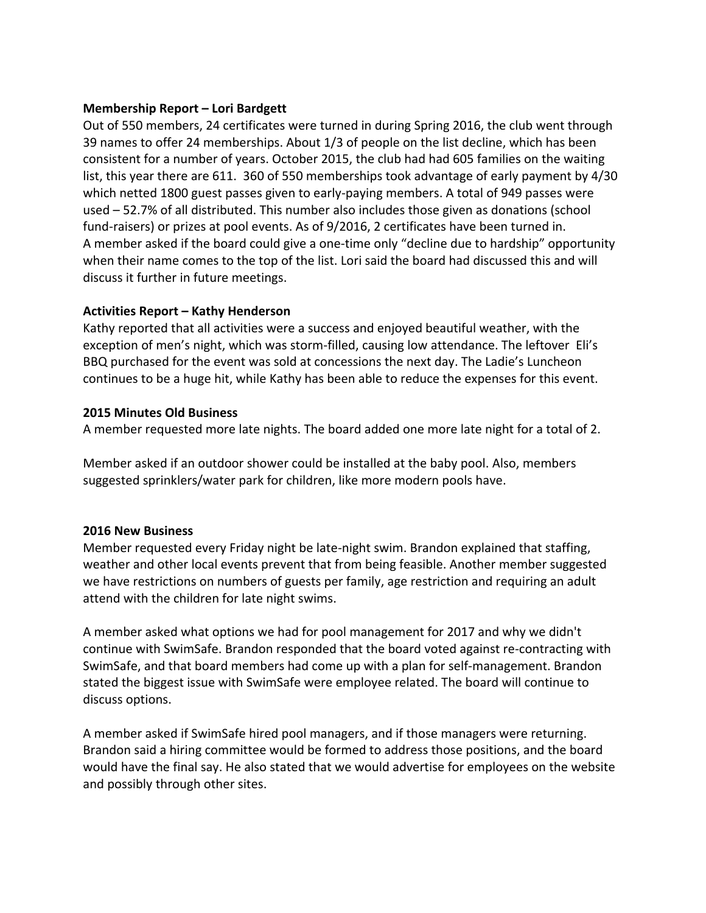#### **Membership Report – Lori Bardgett**

Out of 550 members, 24 certificates were turned in during Spring 2016, the club went through 39 names to offer 24 memberships. About 1/3 of people on the list decline, which has been consistent for a number of years. October 2015, the club had had 605 families on the waiting list, this year there are 611. 360 of 550 memberships took advantage of early payment by 4/30 which netted 1800 guest passes given to early‐paying members. A total of 949 passes were used – 52.7% of all distributed. This number also includes those given as donations (school fund-raisers) or prizes at pool events. As of 9/2016, 2 certificates have been turned in. A member asked if the board could give a one‐time only "decline due to hardship" opportunity when their name comes to the top of the list. Lori said the board had discussed this and will discuss it further in future meetings.

#### **Activities Report – Kathy Henderson**

Kathy reported that all activities were a success and enjoyed beautiful weather, with the exception of men's night, which was storm-filled, causing low attendance. The leftover Eli's BBQ purchased for the event was sold at concessions the next day. The Ladie's Luncheon continues to be a huge hit, while Kathy has been able to reduce the expenses for this event.

#### **2015 Minutes Old Business**

A member requested more late nights. The board added one more late night for a total of 2.

Member asked if an outdoor shower could be installed at the baby pool. Also, members suggested sprinklers/water park for children, like more modern pools have.

#### **2016 New Business**

Member requested every Friday night be late‐night swim. Brandon explained that staffing, weather and other local events prevent that from being feasible. Another member suggested we have restrictions on numbers of guests per family, age restriction and requiring an adult attend with the children for late night swims.

A member asked what options we had for pool management for 2017 and why we didn't continue with SwimSafe. Brandon responded that the board voted against re‐contracting with SwimSafe, and that board members had come up with a plan for self‐management. Brandon stated the biggest issue with SwimSafe were employee related. The board will continue to discuss options.

A member asked if SwimSafe hired pool managers, and if those managers were returning. Brandon said a hiring committee would be formed to address those positions, and the board would have the final say. He also stated that we would advertise for employees on the website and possibly through other sites.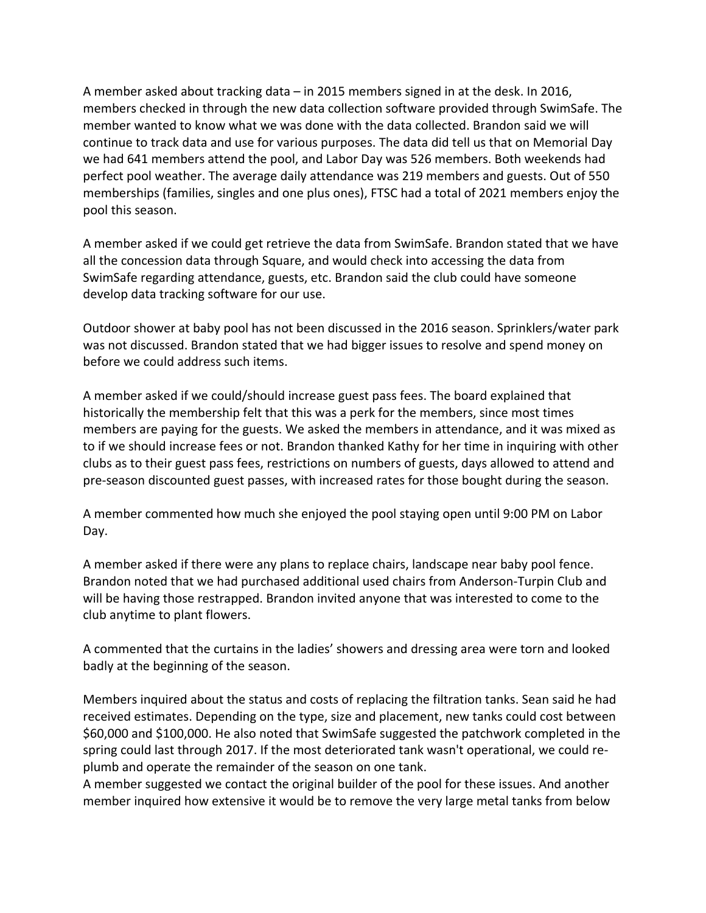A member asked about tracking data – in 2015 members signed in at the desk. In 2016, members checked in through the new data collection software provided through SwimSafe. The member wanted to know what we was done with the data collected. Brandon said we will continue to track data and use for various purposes. The data did tell us that on Memorial Day we had 641 members attend the pool, and Labor Day was 526 members. Both weekends had perfect pool weather. The average daily attendance was 219 members and guests. Out of 550 memberships (families, singles and one plus ones), FTSC had a total of 2021 members enjoy the pool this season.

A member asked if we could get retrieve the data from SwimSafe. Brandon stated that we have all the concession data through Square, and would check into accessing the data from SwimSafe regarding attendance, guests, etc. Brandon said the club could have someone develop data tracking software for our use.

Outdoor shower at baby pool has not been discussed in the 2016 season. Sprinklers/water park was not discussed. Brandon stated that we had bigger issues to resolve and spend money on before we could address such items.

A member asked if we could/should increase guest pass fees. The board explained that historically the membership felt that this was a perk for the members, since most times members are paying for the guests. We asked the members in attendance, and it was mixed as to if we should increase fees or not. Brandon thanked Kathy for her time in inquiring with other clubs as to their guest pass fees, restrictions on numbers of guests, days allowed to attend and pre‐season discounted guest passes, with increased rates for those bought during the season.

A member commented how much she enjoyed the pool staying open until 9:00 PM on Labor Day.

A member asked if there were any plans to replace chairs, landscape near baby pool fence. Brandon noted that we had purchased additional used chairs from Anderson‐Turpin Club and will be having those restrapped. Brandon invited anyone that was interested to come to the club anytime to plant flowers.

A commented that the curtains in the ladies' showers and dressing area were torn and looked badly at the beginning of the season.

Members inquired about the status and costs of replacing the filtration tanks. Sean said he had received estimates. Depending on the type, size and placement, new tanks could cost between \$60,000 and \$100,000. He also noted that SwimSafe suggested the patchwork completed in the spring could last through 2017. If the most deteriorated tank wasn't operational, we could re‐ plumb and operate the remainder of the season on one tank.

A member suggested we contact the original builder of the pool for these issues. And another member inquired how extensive it would be to remove the very large metal tanks from below